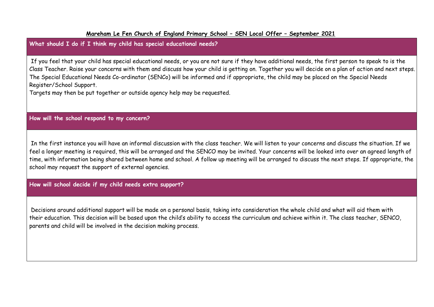#### **Mareham Le Fen Church of England Primary School – SEN Local Offer – September 2021**

# **What should I do if I think my child has special educational needs?**

If you feel that your child has special educational needs, or you are not sure if they have additional needs, the first person to speak to is the Class Teacher. Raise your concerns with them and discuss how your child is getting on. Together you will decide on a plan of action and next steps. The Special Educational Needs Co-ordinator (SENCo) will be informed and if appropriate, the child may be placed on the Special Needs Register/School Support.

Targets may then be put together or outside agency help may be requested.

**How will the school respond to my concern?** 

In the first instance you will have an informal discussion with the class teacher. We will listen to your concerns and discuss the situation. If we feel a longer meeting is required, this will be arranged and the SENCO may be invited. Your concerns will be looked into over an agreed length of time, with information being shared between home and school. A follow up meeting will be arranged to discuss the next steps. If appropriate, the school may request the support of external agencies.

**How will school decide if my child needs extra support?** 

Decisions around additional support will be made on a personal basis, taking into consideration the whole child and what will aid them with their education. This decision will be based upon the child's ability to access the curriculum and achieve within it. The class teacher, SENCO, parents and child will be involved in the decision making process.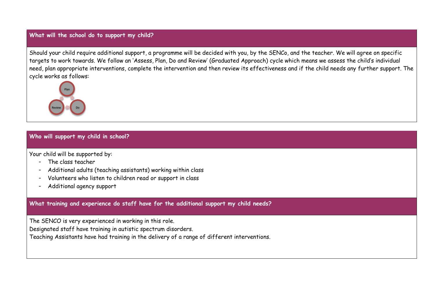#### **What will the school do to support my child?**

Should your child require additional support, a programme will be decided with you, by the SENCo, and the teacher. We will agree on specific targets to work towards. We follow an 'Assess, Plan, Do and Review' (Graduated Approach) cycle which means we assess the child's individual need, plan appropriate interventions, complete the intervention and then review its effectiveness and if the child needs any further support. The cycle works as follows:



#### **Who will support my child in school?**

Your child will be supported by:

- The class teacher
- Additional adults (teaching assistants) working within class
- Volunteers who listen to children read or support in class
- Additional agency support

**What training and experience do staff have for the additional support my child needs?** 

The SENCO is very experienced in working in this role.

Designated staff have training in autistic spectrum disorders.

Teaching Assistants have had training in the delivery of a range of different interventions.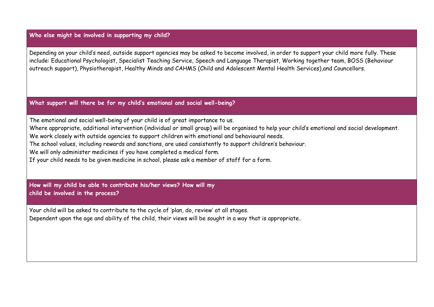# **Who else might be involved in supporting my child?**

Depending on your child's need, outside support agencies may be asked to become involved, in order to support your child more fully. These include: Educational Psychologist, Specialist Teaching Service, Speech and Language Therapist, Working together team, BOSS (Behaviour outreach support), Physiotherapist, Healthy Minds and CAHMS (Child and Adolescent Mental Health Services),and Councellors.

#### **What support will there be for my child's emotional and social well-being?**

The emotional and social well-being of your child is of great importance to us.

Where appropriate, additional intervention (individual or small group) will be organised to help your child's emotional and social development. We work closely with outside agencies to support children with emotional and behavioural needs.

The school values, including rewards and sanctions, are used consistently to support children's behaviour.

We will only administer medicines if you have completed a medical form.

If your child needs to be given medicine in school, please ask a member of staff for a form.

**How will my child be able to contribute his/her views? How will my child be involved in the process?** 

Your child will be asked to contribute to the cycle of 'plan, do, review' at all stages. Dependent upon the age and ability of the child, their views will be sought in a way that is appropriate..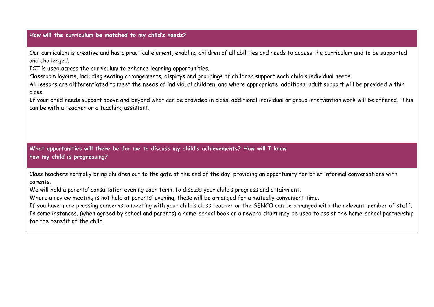# **How will the curriculum be matched to my child's needs?**

Our curriculum is creative and has a practical element, enabling children of all abilities and needs to access the curriculum and to be supported and challenged.

ICT is used across the curriculum to enhance learning opportunities.

Classroom layouts, including seating arrangements, displays and groupings of children support each child's individual needs.

All lessons are differentiated to meet the needs of individual children, and where appropriate, additional adult support will be provided within class.

If your child needs support above and beyond what can be provided in class, additional individual or group intervention work will be offered. This can be with a teacher or a teaching assistant.

**What opportunities will there be for me to discuss my child's achievements? How will I know how my child is progressing?** 

Class teachers normally bring children out to the gate at the end of the day, providing an opportunity for brief informal conversations with parents.

We will hold a parents' consultation evening each term, to discuss your child's progress and attainment.

Where a review meeting is not held at parents' evening, these will be arranged for a mutually convenient time.

If you have more pressing concerns, a meeting with your child's class teacher or the SENCO can be arranged with the relevant member of staff. In some instances, (when agreed by school and parents) a home-school book or a reward chart may be used to assist the home-school partnership for the benefit of the child.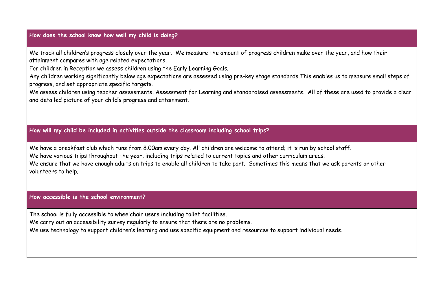## **How does the school know how well my child is doing?**

We track all children's progress closely over the year. We measure the amount of progress children make over the year, and how their attainment compares with age related expectations.

For children in Reception we assess children using the Early Learning Goals.

Any children working significantly below age expectations are assessed using pre-key stage standards.This enables us to measure small steps of progress, and set appropriate specific targets.

We assess children using teacher assessments, Assessment for Learning and standardised assessments. All of these are used to provide a clear and detailed picture of your child's progress and attainment.

**How will my child be included in activities outside the classroom including school trips?** 

We have a breakfast club which runs from 8.00am every day. All children are welcome to attend; it is run by school staff. We have various trips throughout the year, including trips related to current topics and other curriculum areas. We ensure that we have enough adults on trips to enable all children to take part. Sometimes this means that we ask parents or other volunteers to help.

#### **How accessible is the school environment?**

The school is fully accessible to wheelchair users including toilet facilities.

We carry out an accessibility survey regularly to ensure that there are no problems.

We use technology to support children's learning and use specific equipment and resources to support individual needs.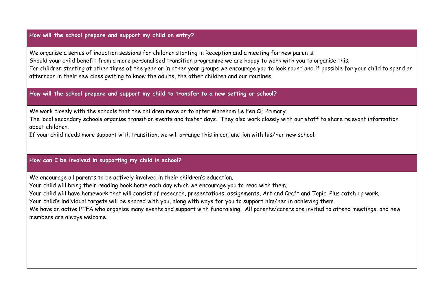## **How will the school prepare and support my child on entry?**

We organise a series of induction sessions for children starting in Reception and a meeting for new parents. Should your child benefit from a more personalised transition programme we are happy to work with you to organise this. For children starting at other times of the year or in other year groups we encourage you to look round and if possible for your child to spend an afternoon in their new class getting to know the adults, the other children and our routines.

## **How will the school prepare and support my child to transfer to a new setting or school?**

We work closely with the schools that the children move on to after Mareham Le Fen CE Primary.

The local secondary schools organise transition events and taster days. They also work closely with our staff to share relevant information about children.

If your child needs more support with transition, we will arrange this in conjunction with his/her new school.

## **How can I be involved in supporting my child in school?**

We encourage all parents to be actively involved in their children's education.

Your child will bring their reading book home each day which we encourage you to read with them.

Your child will have homework that will consist of research, presentations, assignments, Art and Craft and Topic. Plus catch up work.

Your child's individual targets will be shared with you, along with ways for you to support him/her in achieving them.

We have an active PTFA who organise many events and support with fundraising. All parents/carers are invited to attend meetings, and new members are always welcome.